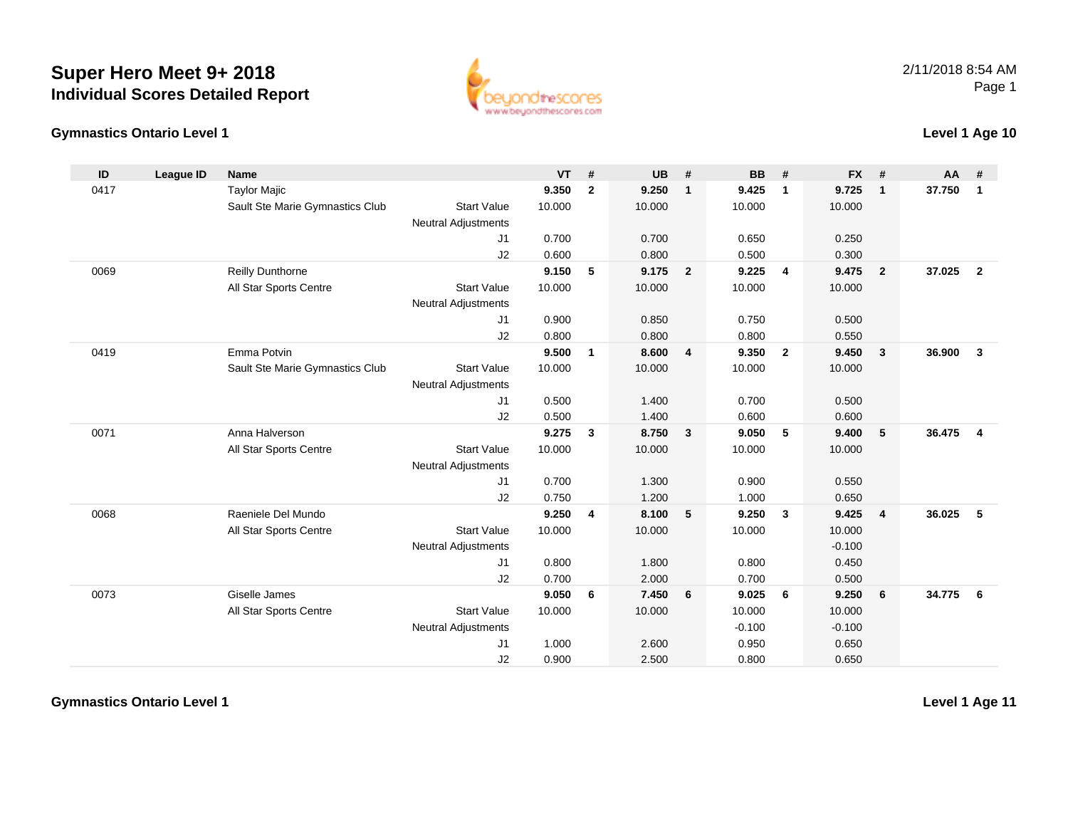



### **Level 1 Age 10**

| ID   | League ID | <b>Name</b>                     |                            | <b>VT</b> | #              | <b>UB</b> | #              | <b>BB</b> | #                       | <b>FX</b> | #                       | AA     | #              |
|------|-----------|---------------------------------|----------------------------|-----------|----------------|-----------|----------------|-----------|-------------------------|-----------|-------------------------|--------|----------------|
| 0417 |           | <b>Taylor Majic</b>             |                            | 9.350     | $\overline{2}$ | 9.250     | $\mathbf{1}$   | 9.425     | $\mathbf{1}$            | 9.725     | $\mathbf{1}$            | 37.750 | $\mathbf{1}$   |
|      |           | Sault Ste Marie Gymnastics Club | <b>Start Value</b>         | 10.000    |                | 10.000    |                | 10.000    |                         | 10.000    |                         |        |                |
|      |           |                                 | <b>Neutral Adjustments</b> |           |                |           |                |           |                         |           |                         |        |                |
|      |           |                                 | J1                         | 0.700     |                | 0.700     |                | 0.650     |                         | 0.250     |                         |        |                |
|      |           |                                 | J2                         | 0.600     |                | 0.800     |                | 0.500     |                         | 0.300     |                         |        |                |
| 0069 |           | <b>Reilly Dunthorne</b>         |                            | 9.150     | 5              | 9.175     | $\overline{2}$ | 9.225     | $\overline{4}$          | 9.475     | $\overline{2}$          | 37.025 | $\overline{2}$ |
|      |           | All Star Sports Centre          | <b>Start Value</b>         | 10.000    |                | 10.000    |                | 10.000    |                         | 10.000    |                         |        |                |
|      |           |                                 | <b>Neutral Adjustments</b> |           |                |           |                |           |                         |           |                         |        |                |
|      |           |                                 | J1                         | 0.900     |                | 0.850     |                | 0.750     |                         | 0.500     |                         |        |                |
|      |           |                                 | J2                         | 0.800     |                | 0.800     |                | 0.800     |                         | 0.550     |                         |        |                |
| 0419 |           | Emma Potvin                     |                            | 9.500     | $\mathbf{1}$   | 8.600     | 4              | 9.350     | $\overline{\mathbf{2}}$ | 9.450     | $\overline{\mathbf{3}}$ | 36.900 | $\mathbf{3}$   |
|      |           | Sault Ste Marie Gymnastics Club | <b>Start Value</b>         | 10.000    |                | 10.000    |                | 10.000    |                         | 10.000    |                         |        |                |
|      |           |                                 | <b>Neutral Adjustments</b> |           |                |           |                |           |                         |           |                         |        |                |
|      |           |                                 | J1                         | 0.500     |                | 1.400     |                | 0.700     |                         | 0.500     |                         |        |                |
|      |           |                                 | J2                         | 0.500     |                | 1.400     |                | 0.600     |                         | 0.600     |                         |        |                |
| 0071 |           | Anna Halverson                  |                            | 9.275     | 3              | 8.750     | 3              | 9.050     | 5                       | 9.400     | 5                       | 36.475 | $\overline{4}$ |
|      |           | All Star Sports Centre          | <b>Start Value</b>         | 10.000    |                | 10.000    |                | 10.000    |                         | 10.000    |                         |        |                |
|      |           |                                 | <b>Neutral Adjustments</b> |           |                |           |                |           |                         |           |                         |        |                |
|      |           |                                 | J1                         | 0.700     |                | 1.300     |                | 0.900     |                         | 0.550     |                         |        |                |
|      |           |                                 | J2                         | 0.750     |                | 1.200     |                | 1.000     |                         | 0.650     |                         |        |                |
| 0068 |           | Raeniele Del Mundo              |                            | 9.250     | 4              | 8.100     | 5              | 9.250     | $\mathbf{3}$            | 9.425     | $\overline{4}$          | 36.025 | 5              |
|      |           | All Star Sports Centre          | <b>Start Value</b>         | 10.000    |                | 10.000    |                | 10.000    |                         | 10.000    |                         |        |                |
|      |           |                                 | Neutral Adjustments        |           |                |           |                |           |                         | $-0.100$  |                         |        |                |
|      |           |                                 | J1                         | 0.800     |                | 1.800     |                | 0.800     |                         | 0.450     |                         |        |                |
|      |           |                                 | J2                         | 0.700     |                | 2.000     |                | 0.700     |                         | 0.500     |                         |        |                |
| 0073 |           | Giselle James                   |                            | 9.050     | 6              | 7.450     | 6              | 9.025     | 6                       | 9.250     | 6                       | 34.775 | 6              |
|      |           | All Star Sports Centre          | <b>Start Value</b>         | 10.000    |                | 10.000    |                | 10.000    |                         | 10.000    |                         |        |                |
|      |           |                                 | <b>Neutral Adjustments</b> |           |                |           |                | $-0.100$  |                         | $-0.100$  |                         |        |                |
|      |           |                                 | J1                         | 1.000     |                | 2.600     |                | 0.950     |                         | 0.650     |                         |        |                |
|      |           |                                 | J2                         | 0.900     |                | 2.500     |                | 0.800     |                         | 0.650     |                         |        |                |

**Gymnastics Ontario Level 1**

**Level 1 Age 11**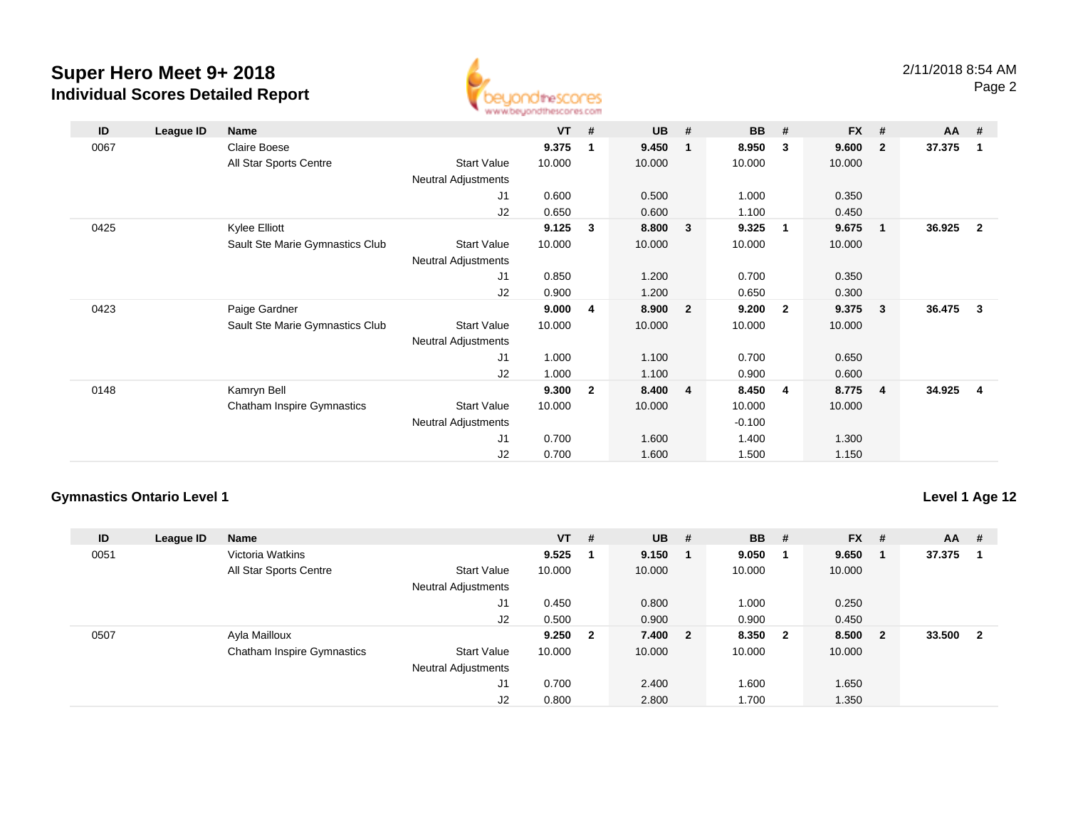

| ID   | League ID | Name                              |                     | $VT$ # |                | <b>UB</b> | #            | <b>BB</b> | #            | <b>FX</b> | #                       | AA     | #                       |
|------|-----------|-----------------------------------|---------------------|--------|----------------|-----------|--------------|-----------|--------------|-----------|-------------------------|--------|-------------------------|
| 0067 |           | Claire Boese                      |                     | 9.375  | 1              | 9.450     | 1            | 8.950     | 3            | 9.600     | $\overline{2}$          | 37.375 | $\overline{\mathbf{1}}$ |
|      |           | All Star Sports Centre            | <b>Start Value</b>  | 10.000 |                | 10.000    |              | 10.000    |              | 10.000    |                         |        |                         |
|      |           |                                   | Neutral Adjustments |        |                |           |              |           |              |           |                         |        |                         |
|      |           |                                   | J1                  | 0.600  |                | 0.500     |              | 1.000     |              | 0.350     |                         |        |                         |
|      |           |                                   | J2                  | 0.650  |                | 0.600     |              | 1.100     |              | 0.450     |                         |        |                         |
| 0425 |           | Kylee Elliott                     |                     | 9.125  | 3              | 8.800     | 3            | 9.325     | 1            | 9.675     | $\overline{\mathbf{1}}$ | 36.925 | $\overline{\mathbf{2}}$ |
|      |           | Sault Ste Marie Gymnastics Club   | <b>Start Value</b>  | 10.000 |                | 10.000    |              | 10.000    |              | 10.000    |                         |        |                         |
|      |           |                                   | Neutral Adjustments |        |                |           |              |           |              |           |                         |        |                         |
|      |           |                                   | J1                  | 0.850  |                | 1.200     |              | 0.700     |              | 0.350     |                         |        |                         |
|      |           |                                   | J2                  | 0.900  |                | 1.200     |              | 0.650     |              | 0.300     |                         |        |                         |
| 0423 |           | Paige Gardner                     |                     | 9.000  | 4              | 8.900     | $\mathbf{2}$ | 9.200     | $\mathbf{2}$ | 9.375     | $\mathbf{3}$            | 36.475 | - 3                     |
|      |           | Sault Ste Marie Gymnastics Club   | <b>Start Value</b>  | 10.000 |                | 10.000    |              | 10.000    |              | 10.000    |                         |        |                         |
|      |           |                                   | Neutral Adjustments |        |                |           |              |           |              |           |                         |        |                         |
|      |           |                                   | J <sub>1</sub>      | 1.000  |                | 1.100     |              | 0.700     |              | 0.650     |                         |        |                         |
|      |           |                                   | J2                  | 1.000  |                | 1.100     |              | 0.900     |              | 0.600     |                         |        |                         |
| 0148 |           | Kamryn Bell                       |                     | 9.300  | $\overline{2}$ | 8.400     | 4            | 8.450     | 4            | 8.775     | $\overline{4}$          | 34.925 | -4                      |
|      |           | <b>Chatham Inspire Gymnastics</b> | <b>Start Value</b>  | 10.000 |                | 10.000    |              | 10.000    |              | 10.000    |                         |        |                         |
|      |           |                                   | Neutral Adjustments |        |                |           |              | $-0.100$  |              |           |                         |        |                         |
|      |           |                                   | J1                  | 0.700  |                | 1.600     |              | 1.400     |              | 1.300     |                         |        |                         |
|      |           |                                   | J2                  | 0.700  |                | 1.600     |              | 1.500     |              | 1.150     |                         |        |                         |

### **Gymnastics Ontario Level 1**

**Level 1 Age 12**

| ID   | League ID | <b>Name</b>                |                            | $VT$ #  | <b>UB</b> | #   | <b>BB</b> | #                       | <b>FX</b> | #                       | $AA$ # |                         |
|------|-----------|----------------------------|----------------------------|---------|-----------|-----|-----------|-------------------------|-----------|-------------------------|--------|-------------------------|
| 0051 |           | Victoria Watkins           |                            | 9.525   | 9.150     | - 1 | 9.050     |                         | 9.650     |                         | 37.375 |                         |
|      |           | All Star Sports Centre     | <b>Start Value</b>         | 10.000  | 10.000    |     | 10.000    |                         | 10.000    |                         |        |                         |
|      |           |                            | Neutral Adjustments        |         |           |     |           |                         |           |                         |        |                         |
|      |           |                            | J1                         | 0.450   | 0.800     |     | 1.000     |                         | 0.250     |                         |        |                         |
|      |           |                            | J2                         | 0.500   | 0.900     |     | 0.900     |                         | 0.450     |                         |        |                         |
| 0507 |           | Ayla Mailloux              |                            | 9.250 2 | 7.400 2   |     | 8.350     | $\overline{\mathbf{2}}$ | 8.500     | $\overline{\mathbf{2}}$ | 33.500 | $\overline{\mathbf{2}}$ |
|      |           | Chatham Inspire Gymnastics | <b>Start Value</b>         | 10.000  | 10.000    |     | 10.000    |                         | 10.000    |                         |        |                         |
|      |           |                            | <b>Neutral Adjustments</b> |         |           |     |           |                         |           |                         |        |                         |
|      |           |                            | J1                         | 0.700   | 2.400     |     | 1.600     |                         | 1.650     |                         |        |                         |
|      |           |                            | J2                         | 0.800   | 2.800     |     | 1.700     |                         | 1.350     |                         |        |                         |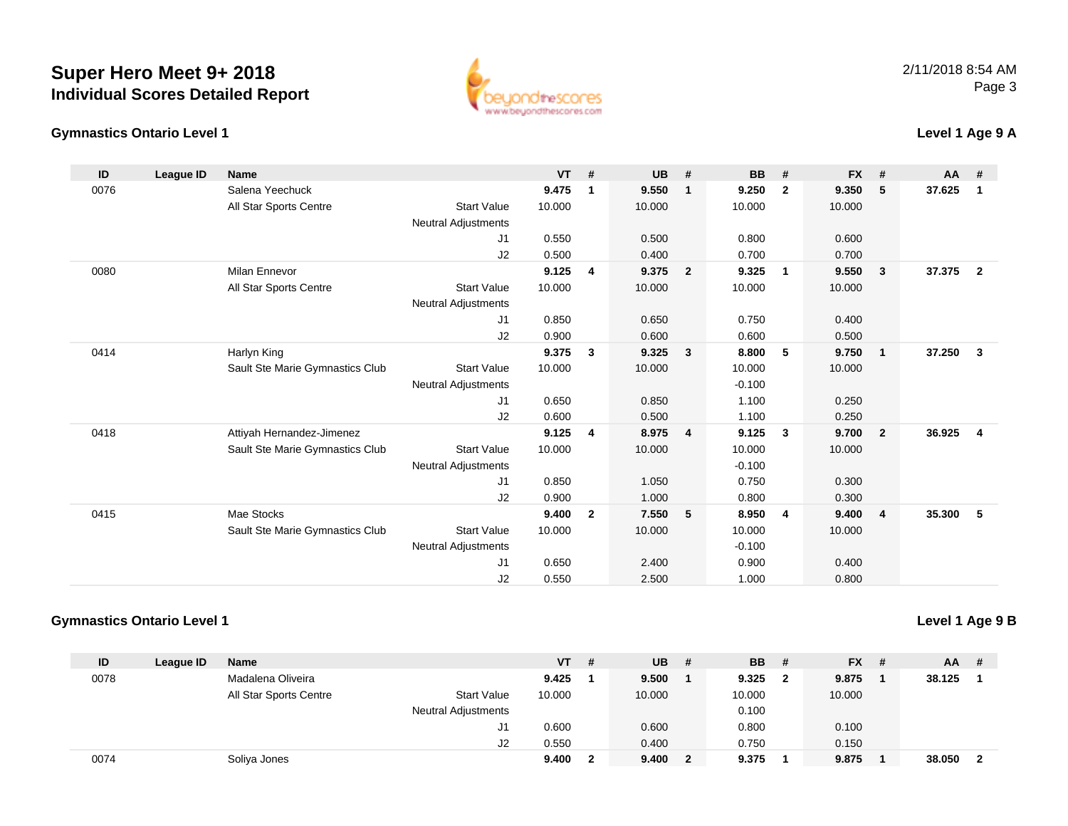



## **Level 1 Age 9 A**

| ID   | League ID | <b>Name</b>                     |                            | <b>VT</b> | #              | <b>UB</b> | #              | <b>BB</b> | #              | <b>FX</b> | #                       | AA     | #                       |
|------|-----------|---------------------------------|----------------------------|-----------|----------------|-----------|----------------|-----------|----------------|-----------|-------------------------|--------|-------------------------|
| 0076 |           | Salena Yeechuck                 |                            | 9.475     | $\mathbf{1}$   | 9.550     | $\mathbf{1}$   | 9.250     | $\overline{2}$ | 9.350     | 5                       | 37.625 | $\mathbf{1}$            |
|      |           | All Star Sports Centre          | <b>Start Value</b>         | 10.000    |                | 10.000    |                | 10.000    |                | 10.000    |                         |        |                         |
|      |           |                                 | Neutral Adjustments        |           |                |           |                |           |                |           |                         |        |                         |
|      |           |                                 | J1                         | 0.550     |                | 0.500     |                | 0.800     |                | 0.600     |                         |        |                         |
|      |           |                                 | J2                         | 0.500     |                | 0.400     |                | 0.700     |                | 0.700     |                         |        |                         |
| 0080 |           | <b>Milan Ennevor</b>            |                            | 9.125     | 4              | 9.375     | $\overline{2}$ | 9.325     | $\overline{1}$ | 9.550     | $\overline{\mathbf{3}}$ | 37.375 | $\overline{\mathbf{2}}$ |
|      |           | All Star Sports Centre          | <b>Start Value</b>         | 10.000    |                | 10.000    |                | 10.000    |                | 10.000    |                         |        |                         |
|      |           |                                 | Neutral Adjustments        |           |                |           |                |           |                |           |                         |        |                         |
|      |           |                                 | J1                         | 0.850     |                | 0.650     |                | 0.750     |                | 0.400     |                         |        |                         |
|      |           |                                 | J2                         | 0.900     |                | 0.600     |                | 0.600     |                | 0.500     |                         |        |                         |
| 0414 |           | Harlyn King                     |                            | 9.375     | 3              | 9.325     | 3              | 8.800     | 5              | 9.750     | $\overline{\mathbf{1}}$ | 37.250 | $\overline{\mathbf{3}}$ |
|      |           | Sault Ste Marie Gymnastics Club | <b>Start Value</b>         | 10.000    |                | 10.000    |                | 10.000    |                | 10.000    |                         |        |                         |
|      |           |                                 | <b>Neutral Adjustments</b> |           |                |           |                | $-0.100$  |                |           |                         |        |                         |
|      |           |                                 | J1                         | 0.650     |                | 0.850     |                | 1.100     |                | 0.250     |                         |        |                         |
|      |           |                                 | J2                         | 0.600     |                | 0.500     |                | 1.100     |                | 0.250     |                         |        |                         |
| 0418 |           | Attiyah Hernandez-Jimenez       |                            | 9.125     | 4              | 8.975     | $\overline{4}$ | 9.125     | $\mathbf{3}$   | 9.700     | $\overline{\mathbf{2}}$ | 36.925 | $\overline{4}$          |
|      |           | Sault Ste Marie Gymnastics Club | <b>Start Value</b>         | 10.000    |                | 10.000    |                | 10.000    |                | 10.000    |                         |        |                         |
|      |           |                                 | <b>Neutral Adjustments</b> |           |                |           |                | $-0.100$  |                |           |                         |        |                         |
|      |           |                                 | J1                         | 0.850     |                | 1.050     |                | 0.750     |                | 0.300     |                         |        |                         |
|      |           |                                 | J2                         | 0.900     |                | 1.000     |                | 0.800     |                | 0.300     |                         |        |                         |
| 0415 |           | Mae Stocks                      |                            | 9.400     | $\overline{2}$ | 7.550     | 5              | 8.950     | $\overline{4}$ | 9.400     | $\overline{4}$          | 35.300 | - 5                     |
|      |           | Sault Ste Marie Gymnastics Club | <b>Start Value</b>         | 10.000    |                | 10.000    |                | 10.000    |                | 10.000    |                         |        |                         |
|      |           |                                 | <b>Neutral Adjustments</b> |           |                |           |                | $-0.100$  |                |           |                         |        |                         |
|      |           |                                 | J1                         | 0.650     |                | 2.400     |                | 0.900     |                | 0.400     |                         |        |                         |
|      |           |                                 | J2                         | 0.550     |                | 2.500     |                | 1.000     |                | 0.800     |                         |        |                         |

#### **Gymnastics Ontario Level 1**

## **Level 1 Age 9 B**

| ID   | League ID | <b>Name</b>            |                            | <b>VT</b> | # | <b>UB</b> | # | <b>BB</b> | - #          | <b>FX</b> | - # | AA     | -# |
|------|-----------|------------------------|----------------------------|-----------|---|-----------|---|-----------|--------------|-----------|-----|--------|----|
| 0078 |           | Madalena Oliveira      |                            | 9.425     |   | 9.500     |   | 9.325     | $\mathbf{2}$ | 9.875     |     | 38.125 |    |
|      |           | All Star Sports Centre | <b>Start Value</b>         | 10.000    |   | 10.000    |   | 10.000    |              | 10.000    |     |        |    |
|      |           |                        | <b>Neutral Adjustments</b> |           |   |           |   | 0.100     |              |           |     |        |    |
|      |           |                        | J1                         | 0.600     |   | 0.600     |   | 0.800     |              | 0.100     |     |        |    |
|      |           |                        | J2                         | 0.550     |   | 0.400     |   | 0.750     |              | 0.150     |     |        |    |
| 0074 |           | Soliya Jones           |                            | 9.400     |   | 9.400     |   | 9.375     |              | 9.875     |     | 38.050 | -2 |